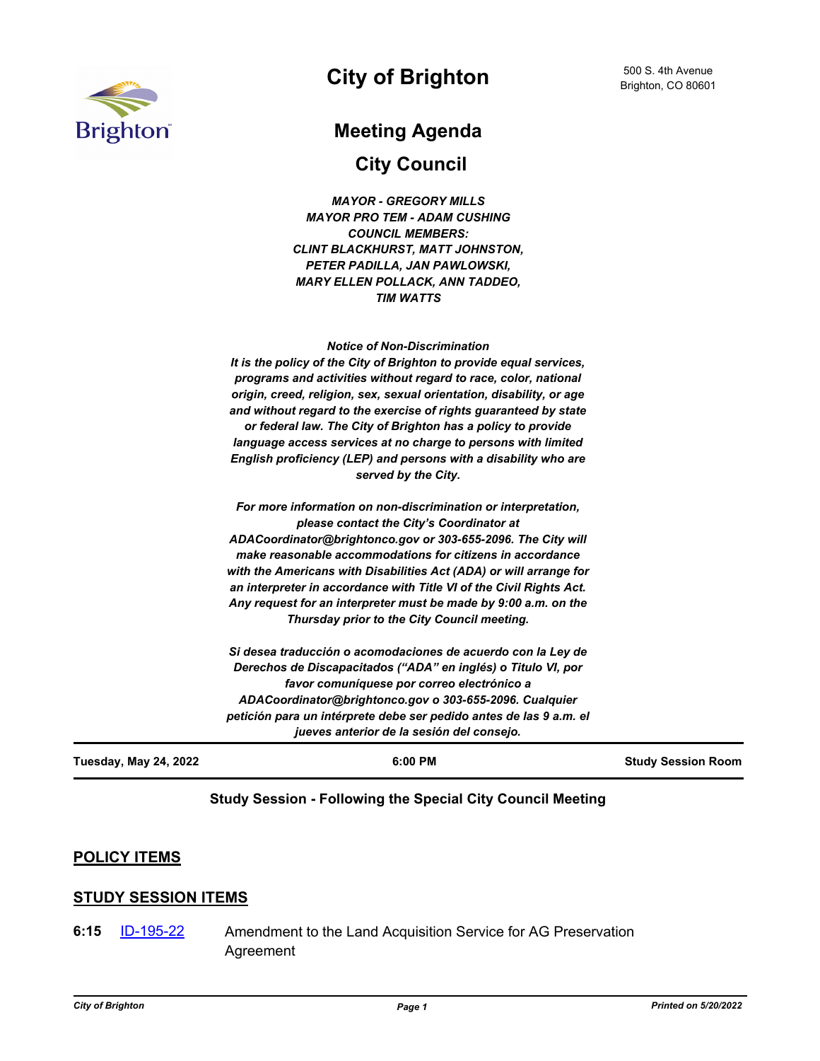

## **City of Brighton**

# **Meeting Agenda**

**City Council**

| Tuesday, May 24, 2022 | 6:00 PM                                                                 | <b>Study Session Room</b> |
|-----------------------|-------------------------------------------------------------------------|---------------------------|
|                       | jueves anterior de la sesión del consejo.                               |                           |
|                       | petición para un intérprete debe ser pedido antes de las 9 a.m. el      |                           |
|                       | ADACoordinator@brightonco.gov o 303-655-2096. Cualquier                 |                           |
|                       | favor comuníquese por correo electrónico a                              |                           |
|                       | Derechos de Discapacitados ("ADA" en inglés) o Titulo VI, por           |                           |
|                       | Si desea traducción o acomodaciones de acuerdo con la Ley de            |                           |
|                       | Thursday prior to the City Council meeting.                             |                           |
|                       | Any request for an interpreter must be made by 9:00 a.m. on the         |                           |
|                       | an interpreter in accordance with Title VI of the Civil Rights Act.     |                           |
|                       | with the Americans with Disabilities Act (ADA) or will arrange for      |                           |
|                       | make reasonable accommodations for citizens in accordance               |                           |
|                       | ADACoordinator@brightonco.gov or 303-655-2096. The City will            |                           |
|                       | please contact the City's Coordinator at                                |                           |
|                       | For more information on non-discrimination or interpretation,           |                           |
|                       | served by the City.                                                     |                           |
|                       | English proficiency (LEP) and persons with a disability who are         |                           |
|                       | language access services at no charge to persons with limited           |                           |
|                       | or federal law. The City of Brighton has a policy to provide            |                           |
|                       | and without regard to the exercise of rights guaranteed by state        |                           |
|                       | origin, creed, religion, sex, sexual orientation, disability, or age    |                           |
|                       | programs and activities without regard to race, color, national         |                           |
|                       | It is the policy of the City of Brighton to provide equal services,     |                           |
|                       | <b>Notice of Non-Discrimination</b>                                     |                           |
|                       |                                                                         |                           |
|                       | <b>TIM WATTS</b>                                                        |                           |
|                       | PETER PADILLA, JAN PAWLOWSKI,<br><b>MARY ELLEN POLLACK, ANN TADDEO,</b> |                           |
|                       | <b>CLINT BLACKHURST, MATT JOHNSTON,</b>                                 |                           |
|                       | <b>COUNCIL MEMBERS:</b>                                                 |                           |
|                       | <b>MAYOR PRO TEM - ADAM CUSHING</b>                                     |                           |
|                       | <b>MAYOR - GREGORY MILLS</b>                                            |                           |
|                       |                                                                         |                           |

#### **Study Session - Following the Special City Council Meeting**

### **POLICY ITEMS**

#### **STUDY SESSION ITEMS**

Amendment to the Land Acquisition Service for AG Preservation Agreement **6:15** [ID-195-22](http://brightonco.legistar.com/gateway.aspx?m=l&id=/matter.aspx?key=4834)